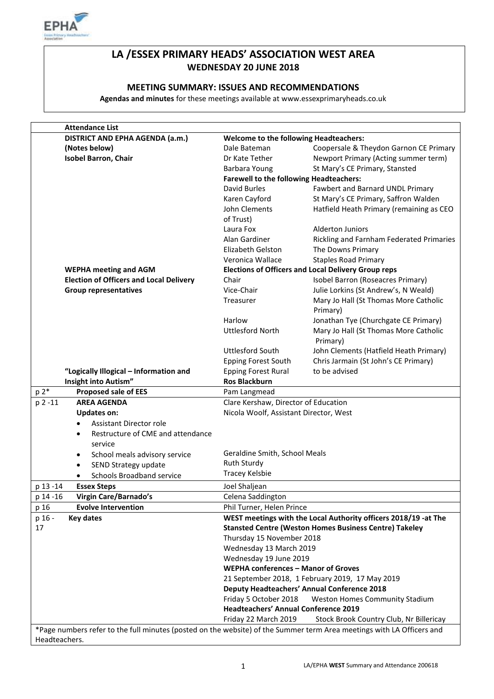

# **LA /ESSEX PRIMARY HEADS' ASSOCIATION WEST AREA WEDNESDAY 20 JUNE 2018**

## **MEETING SUMMARY: ISSUES AND RECOMMENDATIONS**

**Agendas and minutes** for these meetings available at www.essexprimaryheads.co.uk

| <b>Attendance List</b>                                                                                                |                                                    |                                                                 |
|-----------------------------------------------------------------------------------------------------------------------|----------------------------------------------------|-----------------------------------------------------------------|
| DISTRICT AND EPHA AGENDA (a.m.)                                                                                       | <b>Welcome to the following Headteachers:</b>      |                                                                 |
| (Notes below)                                                                                                         | Dale Bateman                                       | Coopersale & Theydon Garnon CE Primary                          |
| <b>Isobel Barron, Chair</b>                                                                                           | Dr Kate Tether                                     | Newport Primary (Acting summer term)                            |
|                                                                                                                       | Barbara Young                                      | St Mary's CE Primary, Stansted                                  |
|                                                                                                                       | <b>Farewell to the following Headteachers:</b>     |                                                                 |
|                                                                                                                       | David Burles                                       | Fawbert and Barnard UNDL Primary                                |
|                                                                                                                       | Karen Cayford                                      | St Mary's CE Primary, Saffron Walden                            |
|                                                                                                                       | John Clements                                      | Hatfield Heath Primary (remaining as CEO                        |
|                                                                                                                       | of Trust)                                          |                                                                 |
|                                                                                                                       | Laura Fox                                          | <b>Alderton Juniors</b>                                         |
|                                                                                                                       | Alan Gardiner                                      | Rickling and Farnham Federated Primaries                        |
|                                                                                                                       | Elizabeth Gelston                                  | The Downs Primary                                               |
|                                                                                                                       | Veronica Wallace                                   | <b>Staples Road Primary</b>                                     |
| <b>WEPHA meeting and AGM</b>                                                                                          |                                                    | <b>Elections of Officers and Local Delivery Group reps</b>      |
| <b>Election of Officers and Local Delivery</b>                                                                        | Chair                                              | Isobel Barron (Roseacres Primary)                               |
| <b>Group representatives</b>                                                                                          | Vice-Chair                                         | Julie Lorkins (St Andrew's, N Weald)                            |
|                                                                                                                       | Treasurer                                          | Mary Jo Hall (St Thomas More Catholic                           |
|                                                                                                                       |                                                    | Primary)                                                        |
|                                                                                                                       | Harlow                                             | Jonathan Tye (Churchgate CE Primary)                            |
|                                                                                                                       | <b>Uttlesford North</b>                            | Mary Jo Hall (St Thomas More Catholic                           |
|                                                                                                                       |                                                    | Primary)                                                        |
|                                                                                                                       | <b>Uttlesford South</b>                            | John Clements (Hatfield Heath Primary)                          |
|                                                                                                                       | <b>Epping Forest South</b>                         | Chris Jarmain (St John's CE Primary)                            |
| "Logically Illogical - Information and                                                                                | <b>Epping Forest Rural</b>                         | to be advised                                                   |
| Insight into Autism"                                                                                                  | <b>Ros Blackburn</b>                               |                                                                 |
| p 2*<br><b>Proposed sale of EES</b>                                                                                   | Pam Langmead                                       |                                                                 |
| <b>AREA AGENDA</b><br>p 2 -11                                                                                         | Clare Kershaw, Director of Education               |                                                                 |
| <b>Updates on:</b>                                                                                                    | Nicola Woolf, Assistant Director, West             |                                                                 |
| Assistant Director role<br>$\bullet$                                                                                  |                                                    |                                                                 |
| Restructure of CME and attendance<br>$\bullet$                                                                        |                                                    |                                                                 |
| service                                                                                                               |                                                    |                                                                 |
| School meals advisory service<br>٠                                                                                    | Geraldine Smith, School Meals                      |                                                                 |
| SEND Strategy update<br>$\bullet$                                                                                     | <b>Ruth Sturdy</b>                                 |                                                                 |
| Schools Broadband service                                                                                             | Tracey Kelsbie                                     |                                                                 |
| p 13 -14<br><b>Essex Steps</b>                                                                                        | Joel Shaljean                                      |                                                                 |
| Virgin Care/Barnado's<br>p 14 -16                                                                                     | Celena Saddington                                  |                                                                 |
| <b>Evolve Intervention</b>                                                                                            |                                                    |                                                                 |
| p 16                                                                                                                  | Phil Turner, Helen Prince                          |                                                                 |
| p 16 -<br><b>Key dates</b>                                                                                            |                                                    | WEST meetings with the Local Authority officers 2018/19 -at The |
| 17                                                                                                                    |                                                    | <b>Stansted Centre (Weston Homes Business Centre) Takeley</b>   |
|                                                                                                                       | Thursday 15 November 2018                          |                                                                 |
|                                                                                                                       | Wednesday 13 March 2019                            |                                                                 |
|                                                                                                                       | Wednesday 19 June 2019                             |                                                                 |
|                                                                                                                       | WEPHA conferences - Manor of Groves                |                                                                 |
|                                                                                                                       |                                                    | 21 September 2018, 1 February 2019, 17 May 2019                 |
|                                                                                                                       | <b>Deputy Headteachers' Annual Conference 2018</b> |                                                                 |
|                                                                                                                       | Friday 5 October 2018                              | Weston Homes Community Stadium                                  |
|                                                                                                                       | <b>Headteachers' Annual Conference 2019</b>        |                                                                 |
|                                                                                                                       | Friday 22 March 2019                               | Stock Brook Country Club, Nr Billericay                         |
| *Page numbers refer to the full minutes (posted on the website) of the Summer term Area meetings with LA Officers and |                                                    |                                                                 |
| Headteachers.                                                                                                         |                                                    |                                                                 |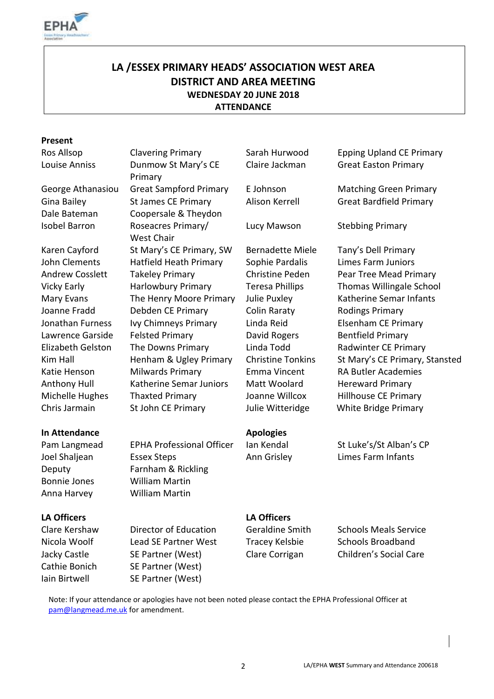

# **LA /ESSEX PRIMARY HEADS' ASSOCIATION WEST AREA DISTRICT AND AREA MEETING WEDNESDAY 20 JUNE 2018 ATTENDANCE**

#### **Present**

Bonnie Jones William Martin Anna Harvey William Martin

Louise Anniss Dunmow St Mary's CE Primary George Athanasiou Great Sampford Primary E Johnson Matching Green Primary Gina Bailey **St James CE Primary** Alison Kerrell Great Bardfield Primary Dale Bateman Coopersale & Theydon Isobel Barron Roseacres Primary/ West Chair Karen Cayford St Mary's CE Primary, SW Bernadette Miele Tany's Dell Primary John Clements Hatfield Heath Primary Sophie Pardalis Limes Farm Juniors Andrew Cosslett Takeley Primary Christine Peden Pear Tree Mead Primary Mary Evans The Henry Moore Primary Julie Puxley Katherine Semar Infants Joanne Fradd Debden CE Primary Colin Raraty Rodings Primary Jonathan Furness Ivy Chimneys Primary Linda Reid Elsenham CE Primary Lawrence Garside Felsted Primary **David Rogers** Bentfield Primary Elizabeth Gelston The Downs Primary Linda Todd Radwinter CE Primary Katie Henson Milwards Primary Emma Vincent RA Butler Academies Anthony Hull Katherine Semar Juniors Matt Woolard Hereward Primary Michelle Hughes Thaxted Primary Joanne Willcox Hillhouse CE Primary

**In Attendance Apologies** Joel Shaljean Essex Steps **Ann Grisley** Limes Farm Infants Deputy Farnham & Rickling

Nicola Woolf Lead SE Partner West Tracey Kelsbie Schools Broadband Jacky Castle SE Partner (West) Clare Corrigan Children's Social Care Cathie Bonich SE Partner (West) Iain Birtwell SE Partner (West)

Ros Allsop **Clavering Primary** Sarah Hurwood Epping Upland CE Primary Claire Jackman Great Easton Primary

Lucy Mawson Stebbing Primary

Vicky Early **Harlowbury Primary** Teresa Phillips Thomas Willingale School Kim Hall **Henham & Ugley Primary** Christine Tonkins St Mary's CE Primary, Stansted Chris Jarmain St John CE Primary Julie Witteridge White Bridge Primary

Pam Langmead EPHA Professional Officer Ian Kendal St Luke's/St Alban's CP

### **LA Officers LA Officers**

Clare Kershaw Director of Education Geraldine Smith Schools Meals Service

Note: If your attendance or apologies have not been noted please contact the EPHA Professional Officer at [pam@langmead.me.uk](mailto:pam@langmead.me.uk) for amendment.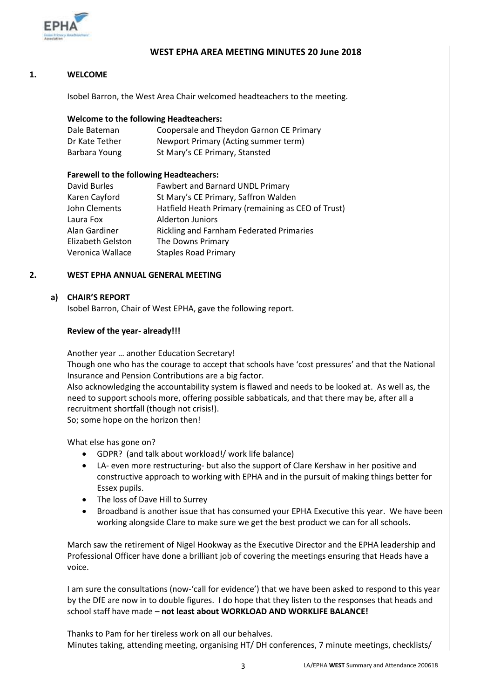

### **WEST EPHA AREA MEETING MINUTES 20 June 2018**

#### **1. WELCOME**

Isobel Barron, the West Area Chair welcomed headteachers to the meeting.

#### **Welcome to the following Headteachers:**

| Dale Bateman   | Coopersale and Theydon Garnon CE Primary |
|----------------|------------------------------------------|
| Dr Kate Tether | Newport Primary (Acting summer term)     |
| Barbara Young  | St Mary's CE Primary, Stansted           |

#### **Farewell to the following Headteachers:**

| David Burles      | <b>Fawbert and Barnard UNDL Primary</b>            |
|-------------------|----------------------------------------------------|
| Karen Cayford     | St Mary's CE Primary, Saffron Walden               |
| John Clements     | Hatfield Heath Primary (remaining as CEO of Trust) |
| Laura Fox         | <b>Alderton Juniors</b>                            |
| Alan Gardiner     | <b>Rickling and Farnham Federated Primaries</b>    |
| Elizabeth Gelston | The Downs Primary                                  |
| Veronica Wallace  | <b>Staples Road Primary</b>                        |

#### **2. WEST EPHA ANNUAL GENERAL MEETING**

#### **a) CHAIR'S REPORT**

Isobel Barron, Chair of West EPHA, gave the following report.

#### **Review of the year- already!!!**

Another year … another Education Secretary!

Though one who has the courage to accept that schools have 'cost pressures' and that the National Insurance and Pension Contributions are a big factor.

Also acknowledging the accountability system is flawed and needs to be looked at. As well as, the need to support schools more, offering possible sabbaticals, and that there may be, after all a recruitment shortfall (though not crisis!).

So; some hope on the horizon then!

What else has gone on?

- GDPR? (and talk about workload!/ work life balance)
- LA- even more restructuring- but also the support of Clare Kershaw in her positive and constructive approach to working with EPHA and in the pursuit of making things better for Essex pupils.
- The loss of Dave Hill to Surrey
- Broadband is another issue that has consumed your EPHA Executive this year. We have been working alongside Clare to make sure we get the best product we can for all schools.

March saw the retirement of Nigel Hookway as the Executive Director and the EPHA leadership and Professional Officer have done a brilliant job of covering the meetings ensuring that Heads have a voice.

I am sure the consultations (now-'call for evidence') that we have been asked to respond to this year by the DfE are now in to double figures. I do hope that they listen to the responses that heads and school staff have made – **not least about WORKLOAD AND WORKLIFE BALANCE!**

Thanks to Pam for her tireless work on all our behalves. Minutes taking, attending meeting, organising HT/ DH conferences, 7 minute meetings, checklists/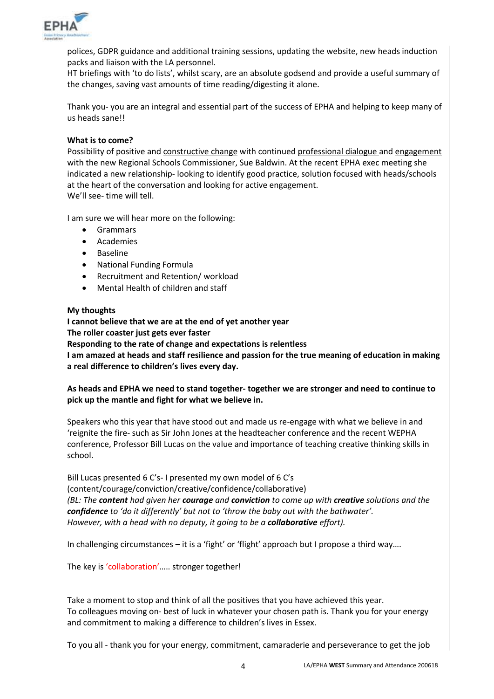

polices, GDPR guidance and additional training sessions, updating the website, new heads induction packs and liaison with the LA personnel.

HT briefings with 'to do lists', whilst scary, are an absolute godsend and provide a useful summary of the changes, saving vast amounts of time reading/digesting it alone.

Thank you- you are an integral and essential part of the success of EPHA and helping to keep many of us heads sane!!

#### **What is to come?**

Possibility of positive and constructive change with continued professional dialogue and engagement with the new Regional Schools Commissioner, Sue Baldwin. At the recent EPHA exec meeting she indicated a new relationship- looking to identify good practice, solution focused with heads/schools at the heart of the conversation and looking for active engagement. We'll see- time will tell.

I am sure we will hear more on the following:

- Grammars
- Academies
- Baseline
- National Funding Formula
- Recruitment and Retention/ workload
- Mental Health of children and staff

#### **My thoughts**

**I cannot believe that we are at the end of yet another year The roller coaster just gets ever faster**

**Responding to the rate of change and expectations is relentless**

**I am amazed at heads and staff resilience and passion for the true meaning of education in making a real difference to children's lives every day.**

#### **As heads and EPHA we need to stand together- together we are stronger and need to continue to pick up the mantle and fight for what we believe in.**

Speakers who this year that have stood out and made us re-engage with what we believe in and 'reignite the fire- such as Sir John Jones at the headteacher conference and the recent WEPHA conference, Professor Bill Lucas on the value and importance of teaching creative thinking skills in school.

Bill Lucas presented 6 C's- I presented my own model of 6 C's (content/courage/conviction/creative/confidence/collaborative) *(BL: The content had given her courage and conviction to come up with creative solutions and the confidence to 'do it differently' but not to 'throw the baby out with the bathwater'. However, with a head with no deputy, it going to be a collaborative effort).*

In challenging circumstances – it is a 'fight' or 'flight' approach but I propose a third way….

The key is 'collaboration'..... stronger together!

Take a moment to stop and think of all the positives that you have achieved this year. To colleagues moving on- best of luck in whatever your chosen path is. Thank you for your energy and commitment to making a difference to children's lives in Essex.

To you all - thank you for your energy, commitment, camaraderie and perseverance to get the job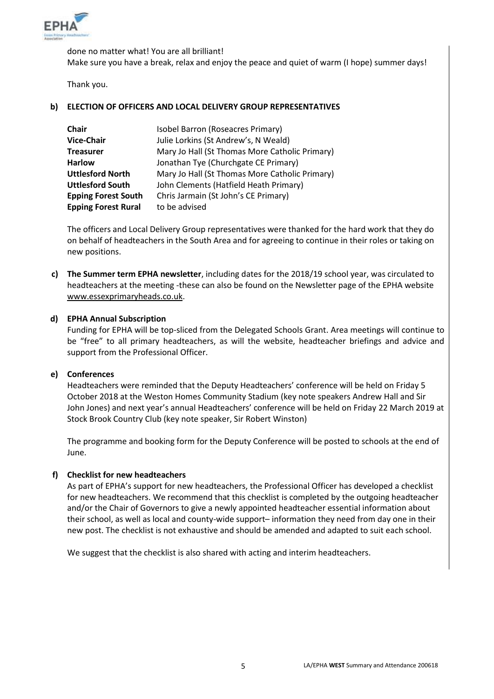

done no matter what! You are all brilliant! Make sure you have a break, relax and enjoy the peace and quiet of warm (I hope) summer days!

Thank you.

#### **b) ELECTION OF OFFICERS AND LOCAL DELIVERY GROUP REPRESENTATIVES**

| <b>Chair</b>               | Isobel Barron (Roseacres Primary)              |
|----------------------------|------------------------------------------------|
| <b>Vice-Chair</b>          | Julie Lorkins (St Andrew's, N Weald)           |
| <b>Treasurer</b>           | Mary Jo Hall (St Thomas More Catholic Primary) |
| <b>Harlow</b>              | Jonathan Tye (Churchgate CE Primary)           |
| <b>Uttlesford North</b>    | Mary Jo Hall (St Thomas More Catholic Primary) |
| <b>Uttlesford South</b>    | John Clements (Hatfield Heath Primary)         |
| <b>Epping Forest South</b> | Chris Jarmain (St John's CE Primary)           |
| <b>Epping Forest Rural</b> | to be advised                                  |

The officers and Local Delivery Group representatives were thanked for the hard work that they do on behalf of headteachers in the South Area and for agreeing to continue in their roles or taking on new positions.

**c) The Summer term EPHA newsletter**, including dates for the 2018/19 school year, was circulated to headteachers at the meeting -these can also be found on the Newsletter page of the EPHA website [www.essexprimaryheads.co.uk.](http://www.essexprimaryheads.co.uk/)

#### **d) EPHA Annual Subscription**

Funding for EPHA will be top-sliced from the Delegated Schools Grant. Area meetings will continue to be "free" to all primary headteachers, as will the website, headteacher briefings and advice and support from the Professional Officer.

#### **e) Conferences**

Headteachers were reminded that the Deputy Headteachers' conference will be held on Friday 5 October 2018 at the Weston Homes Community Stadium (key note speakers Andrew Hall and Sir John Jones) and next year's annual Headteachers' conference will be held on Friday 22 March 2019 at Stock Brook Country Club (key note speaker, Sir Robert Winston)

The programme and booking form for the Deputy Conference will be posted to schools at the end of June.

#### **f) Checklist for new headteachers**

As part of EPHA's support for new headteachers, the Professional Officer has developed a checklist for new headteachers. We recommend that this checklist is completed by the outgoing headteacher and/or the Chair of Governors to give a newly appointed headteacher essential information about their school, as well as local and county-wide support– information they need from day one in their new post. The checklist is not exhaustive and should be amended and adapted to suit each school.

We suggest that the checklist is also shared with acting and interim headteachers.